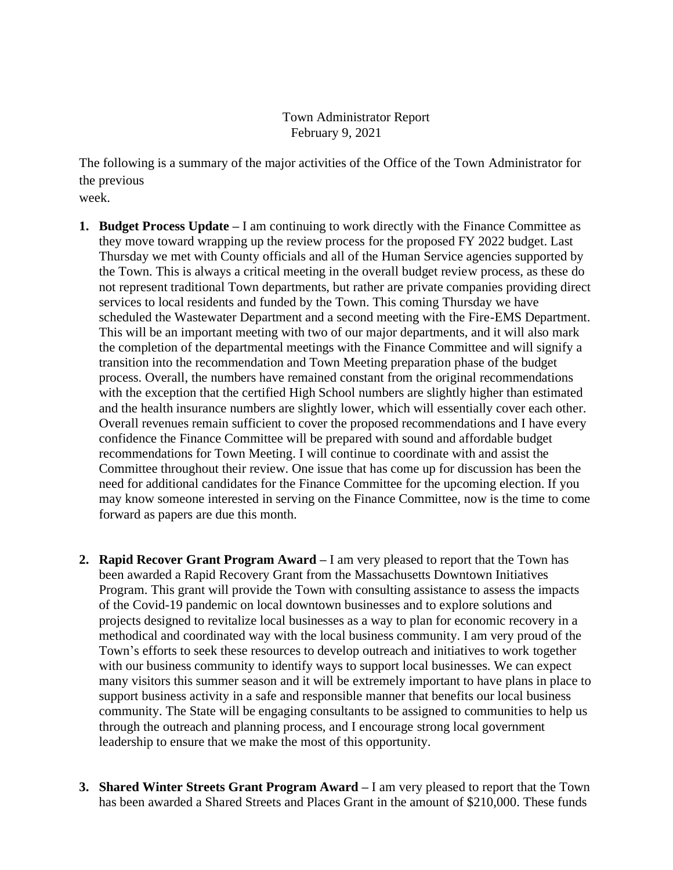Town Administrator Report February 9, 2021

The following is a summary of the major activities of the Office of the Town Administrator for the previous

week.

- **1. Budget Process Update –** I am continuing to work directly with the Finance Committee as they move toward wrapping up the review process for the proposed FY 2022 budget. Last Thursday we met with County officials and all of the Human Service agencies supported by the Town. This is always a critical meeting in the overall budget review process, as these do not represent traditional Town departments, but rather are private companies providing direct services to local residents and funded by the Town. This coming Thursday we have scheduled the Wastewater Department and a second meeting with the Fire-EMS Department. This will be an important meeting with two of our major departments, and it will also mark the completion of the departmental meetings with the Finance Committee and will signify a transition into the recommendation and Town Meeting preparation phase of the budget process. Overall, the numbers have remained constant from the original recommendations with the exception that the certified High School numbers are slightly higher than estimated and the health insurance numbers are slightly lower, which will essentially cover each other. Overall revenues remain sufficient to cover the proposed recommendations and I have every confidence the Finance Committee will be prepared with sound and affordable budget recommendations for Town Meeting. I will continue to coordinate with and assist the Committee throughout their review. One issue that has come up for discussion has been the need for additional candidates for the Finance Committee for the upcoming election. If you may know someone interested in serving on the Finance Committee, now is the time to come forward as papers are due this month.
- **2. Rapid Recover Grant Program Award –** I am very pleased to report that the Town has been awarded a Rapid Recovery Grant from the Massachusetts Downtown Initiatives Program. This grant will provide the Town with consulting assistance to assess the impacts of the Covid-19 pandemic on local downtown businesses and to explore solutions and projects designed to revitalize local businesses as a way to plan for economic recovery in a methodical and coordinated way with the local business community. I am very proud of the Town's efforts to seek these resources to develop outreach and initiatives to work together with our business community to identify ways to support local businesses. We can expect many visitors this summer season and it will be extremely important to have plans in place to support business activity in a safe and responsible manner that benefits our local business community. The State will be engaging consultants to be assigned to communities to help us through the outreach and planning process, and I encourage strong local government leadership to ensure that we make the most of this opportunity.
- **3. Shared Winter Streets Grant Program Award –** I am very pleased to report that the Town has been awarded a Shared Streets and Places Grant in the amount of \$210,000. These funds